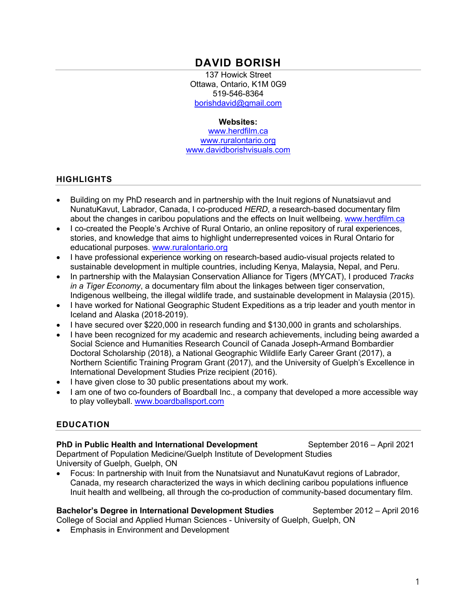# **DAVID BORISH**

137 Howick Street Ottawa, Ontario, K1M 0G9 519-546-8364 borishdavid@gmail.com

#### **Websites:**

www.herdfilm.ca www.ruralontario.org www.davidborishvisuals.com

#### **HIGHLIGHTS**

- Building on my PhD research and in partnership with the Inuit regions of Nunatsiavut and NunatuKavut, Labrador, Canada, I co-produced *HERD*, a research-based documentary film about the changes in caribou populations and the effects on Inuit wellbeing. www.herdfilm.ca
- I co-created the People's Archive of Rural Ontario, an online repository of rural experiences, stories, and knowledge that aims to highlight underrepresented voices in Rural Ontario for educational purposes. www.ruralontario.org
- I have professional experience working on research-based audio-visual projects related to sustainable development in multiple countries, including Kenya, Malaysia, Nepal, and Peru.
- In partnership with the Malaysian Conservation Alliance for Tigers (MYCAT), I produced *Tracks in a Tiger Economy*, a documentary film about the linkages between tiger conservation, Indigenous wellbeing, the illegal wildlife trade, and sustainable development in Malaysia (2015).
- I have worked for National Geographic Student Expeditions as a trip leader and youth mentor in Iceland and Alaska (2018-2019).
- I have secured over \$220,000 in research funding and \$130,000 in grants and scholarships.
- I have been recognized for my academic and research achievements, including being awarded a Social Science and Humanities Research Council of Canada Joseph-Armand Bombardier Doctoral Scholarship (2018), a National Geographic Wildlife Early Career Grant (2017), a Northern Scientific Training Program Grant (2017), and the University of Guelph's Excellence in International Development Studies Prize recipient (2016).
- I have given close to 30 public presentations about my work.
- I am one of two co-founders of Boardball Inc., a company that developed a more accessible way to play volleyball. www.boardballsport.com

#### **EDUCATION**

#### **PhD in Public Health and International Development September 2016 – April 2021**

Department of Population Medicine/Guelph Institute of Development Studies University of Guelph, Guelph, ON

• Focus: In partnership with Inuit from the Nunatsiavut and NunatuKavut regions of Labrador, Canada, my research characterized the ways in which declining caribou populations influence Inuit health and wellbeing, all through the co-production of community-based documentary film.

#### **Bachelor's Degree in International Development Studies** September 2012 – April 2016 College of Social and Applied Human Sciences - University of Guelph, Guelph, ON

• Emphasis in Environment and Development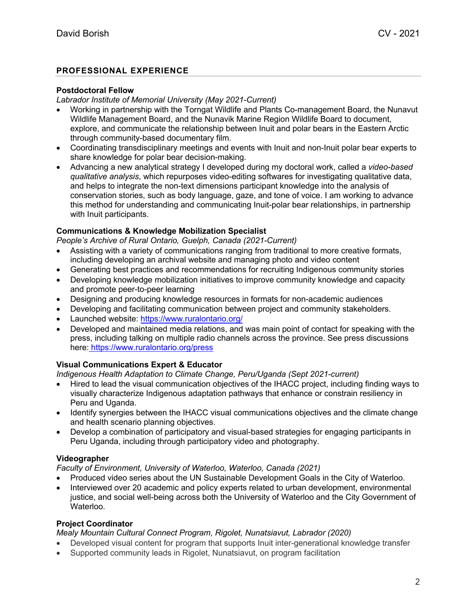## **PROFESSIONAL EXPERIENCE**

#### **Postdoctoral Fellow**

*Labrador Institute of Memorial University (May 2021-Current)*

- Working in partnership with the Torngat Wildlife and Plants Co-management Board, the Nunavut Wildlife Management Board, and the Nunavik Marine Region Wildlife Board to document, explore, and communicate the relationship between Inuit and polar bears in the Eastern Arctic through community-based documentary film.
- Coordinating transdisciplinary meetings and events with Inuit and non-Inuit polar bear experts to share knowledge for polar bear decision-making.
- Advancing a new analytical strategy I developed during my doctoral work, called a *video-based qualitative analysis*, which repurposes video-editing softwares for investigating qualitative data, and helps to integrate the non-text dimensions participant knowledge into the analysis of conservation stories, such as body language, gaze, and tone of voice. I am working to advance this method for understanding and communicating Inuit-polar bear relationships, in partnership with Inuit participants.

## **Communications & Knowledge Mobilization Specialist**

*People's Archive of Rural Ontario, Guelph, Canada (2021-Current)*

- Assisting with a variety of communications ranging from traditional to more creative formats, including developing an archival website and managing photo and video content
- Generating best practices and recommendations for recruiting Indigenous community stories
- Developing knowledge mobilization initiatives to improve community knowledge and capacity and promote peer-to-peer learning
- Designing and producing knowledge resources in formats for non-academic audiences
- Developing and facilitating communication between project and community stakeholders.
- Launched website: https://www.ruralontario.org/
- Developed and maintained media relations, and was main point of contact for speaking with the press, including talking on multiple radio channels across the province. See press discussions here: https://www.ruralontario.org/press

## **Visual Communications Expert & Educator**

*Indigenous Health Adaptation to Climate Change, Peru/Uganda (Sept 2021-current)*

- Hired to lead the visual communication objectives of the IHACC project, including finding ways to visually characterize Indigenous adaptation pathways that enhance or constrain resiliency in Peru and Uganda.
- Identify synergies between the IHACC visual communications objectives and the climate change and health scenario planning objectives.
- Develop a combination of participatory and visual-based strategies for engaging participants in Peru Uganda, including through participatory video and photography.

## **Videographer**

*Faculty of Environment, University of Waterloo, Waterloo, Canada (2021)*

- Produced video series about the UN Sustainable Development Goals in the City of Waterloo.
- Interviewed over 20 academic and policy experts related to urban development, environmental justice, and social well-being across both the University of Waterloo and the City Government of Waterloo.

## **Project Coordinator**

*Mealy Mountain Cultural Connect Program, Rigolet, Nunatsiavut, Labrador (2020)*

- Developed visual content for program that supports Inuit inter-generational knowledge transfer
- Supported community leads in Rigolet, Nunatsiavut, on program facilitation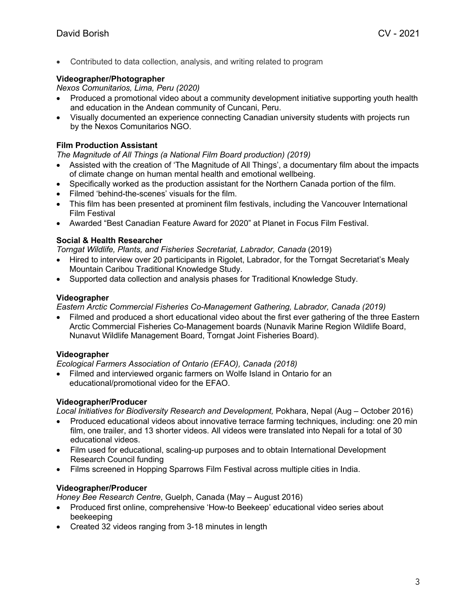• Contributed to data collection, analysis, and writing related to program

#### **Videographer/Photographer**

*Nexos Comunitarios, Lima, Peru (2020)*

- Produced a promotional video about a community development initiative supporting youth health and education in the Andean community of Cuncani, Peru.
- Visually documented an experience connecting Canadian university students with projects run by the Nexos Comunitarios NGO.

#### **Film Production Assistant**

*The Magnitude of All Things (a National Film Board production) (2019)*

- Assisted with the creation of 'The Magnitude of All Things', a documentary film about the impacts of climate change on human mental health and emotional wellbeing.
- Specifically worked as the production assistant for the Northern Canada portion of the film.
- Filmed 'behind-the-scenes' visuals for the film.
- This film has been presented at prominent film festivals, including the Vancouver International Film Festival
- Awarded "Best Canadian Feature Award for 2020" at Planet in Focus Film Festival.

## **Social & Health Researcher**

*Torngat Wildlife, Plants, and Fisheries Secretariat, Labrador, Canada* (2019)

- Hired to interview over 20 participants in Rigolet, Labrador, for the Torngat Secretariat's Mealy Mountain Caribou Traditional Knowledge Study.
- Supported data collection and analysis phases for Traditional Knowledge Study.

#### **Videographer**

*Eastern Arctic Commercial Fisheries Co-Management Gathering, Labrador, Canada (2019)*

• Filmed and produced a short educational video about the first ever gathering of the three Eastern Arctic Commercial Fisheries Co-Management boards (Nunavik Marine Region Wildlife Board, Nunavut Wildlife Management Board, Torngat Joint Fisheries Board).

#### **Videographer**

*Ecological Farmers Association of Ontario (EFAO), Canada (2018)*

• Filmed and interviewed organic farmers on Wolfe Island in Ontario for an educational/promotional video for the EFAO.

#### **Videographer/Producer**

*Local Initiatives for Biodiversity Research and Development,* Pokhara, Nepal (Aug – October 2016)

- Produced educational videos about innovative terrace farming techniques, including: one 20 min film, one trailer, and 13 shorter videos. All videos were translated into Nepali for a total of 30 educational videos.
- Film used for educational, scaling-up purposes and to obtain International Development Research Council funding
- Films screened in Hopping Sparrows Film Festival across multiple cities in India.

#### **Videographer/Producer**

*Honey Bee Research Centre*, Guelph, Canada (May – August 2016)

- Produced first online, comprehensive 'How-to Beekeep' educational video series about beekeeping
- Created 32 videos ranging from 3-18 minutes in length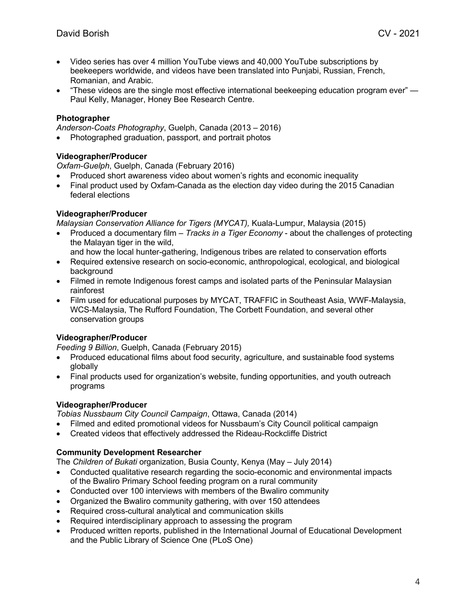- Video series has over 4 million YouTube views and 40,000 YouTube subscriptions by beekeepers worldwide, and videos have been translated into Punjabi, Russian, French, Romanian, and Arabic.
- "These videos are the single most effective international beekeeping education program ever" $-$ Paul Kelly, Manager, Honey Bee Research Centre.

#### **Photographer**

*Anderson-Coats Photography*, Guelph, Canada (2013 – 2016)

• Photographed graduation, passport, and portrait photos

#### **Videographer/Producer**

*Oxfam-Guelph*, Guelph, Canada (February 2016)

- Produced short awareness video about women's rights and economic inequality
- Final product used by Oxfam-Canada as the election day video during the 2015 Canadian federal elections

#### **Videographer/Producer**

*Malaysian Conservation Alliance for Tigers (MYCAT),* Kuala-Lumpur, Malaysia (2015)

- Produced a documentary film *Tracks in a Tiger Economy* about the challenges of protecting the Malayan tiger in the wild,
	- and how the local hunter-gathering, Indigenous tribes are related to conservation efforts
- Required extensive research on socio-economic, anthropological, ecological, and biological background
- Filmed in remote Indigenous forest camps and isolated parts of the Peninsular Malaysian rainforest
- Film used for educational purposes by MYCAT, TRAFFIC in Southeast Asia, WWF-Malaysia, WCS-Malaysia, The Rufford Foundation, The Corbett Foundation, and several other conservation groups

## **Videographer/Producer**

*Feeding 9 Billion*, Guelph, Canada (February 2015)

- Produced educational films about food security, agriculture, and sustainable food systems globally
- Final products used for organization's website, funding opportunities, and youth outreach programs

## **Videographer/Producer**

*Tobias Nussbaum City Council Campaign*, Ottawa, Canada (2014)

- Filmed and edited promotional videos for Nussbaum's City Council political campaign
- Created videos that effectively addressed the Rideau-Rockcliffe District

## **Community Development Researcher**

The *Children of Bukati* organization, Busia County, Kenya (May – July 2014)

- Conducted qualitative research regarding the socio-economic and environmental impacts of the Bwaliro Primary School feeding program on a rural community
- Conducted over 100 interviews with members of the Bwaliro community
- Organized the Bwaliro community gathering, with over 150 attendees
- Required cross-cultural analytical and communication skills
- Required interdisciplinary approach to assessing the program
- Produced written reports, published in the International Journal of Educational Development and the Public Library of Science One (PLoS One)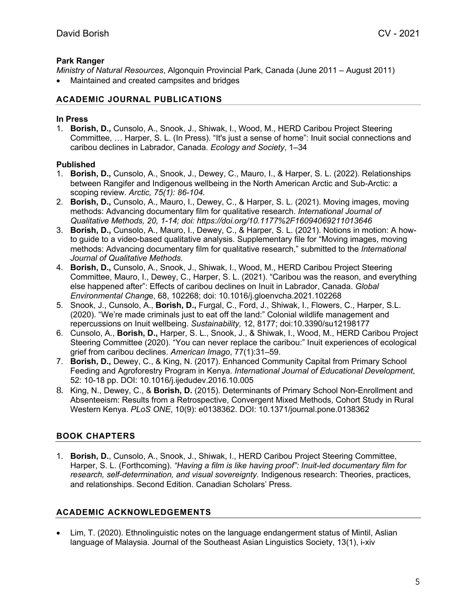## **Park Ranger**

*Ministry of Natural Resources*, Algonquin Provincial Park, Canada (June 2011 – August 2011)

• Maintained and created campsites and bridges

## **ACADEMIC JOURNAL PUBLICATIONS**

#### **In Press**

1. **Borish, D.,** Cunsolo, A., Snook, J., Shiwak, I., Wood, M., HERD Caribou Project Steering Committee, … Harper, S. L. (In Press). "It's just a sense of home": Inuit social connections and caribou declines in Labrador, Canada. *Ecology and Society*, 1–34

## **Published**

- 1. **Borish, D.,** Cunsolo, A., Snook, J., Dewey, C., Mauro, I., & Harper, S. L. (2022). Relationships between Rangifer and Indigenous wellbeing in the North American Arctic and Sub-Arctic: a scoping review. *Arctic, 75(1): 86-104.*
- 2. **Borish, D.,** Cunsolo, A., Mauro, I., Dewey, C., & Harper, S. L. (2021). Moving images, moving methods: Advancing documentary film for qualitative research. *International Journal of Qualitative Methods, 20, 1-14; doi: https://doi.org/10.1177%2F16094069211013646*
- 3. **Borish, D.,** Cunsolo, A., Mauro, I., Dewey, C., & Harper, S. L. (2021). Notions in motion: A howto guide to a video-based qualitative analysis. Supplementary file for "Moving images, moving methods: Advancing documentary film for qualitative research," submitted to the *International Journal of Qualitative Methods.*
- 4. **Borish, D.,** Cunsolo, A., Snook, J., Shiwak, I., Wood, M., HERD Caribou Project Steering Committee, Mauro, I., Dewey, C., Harper, S. L. (2021). "Caribou was the reason, and everything else happened after": Effects of caribou declines on Inuit in Labrador, Canada. *Global Environmental Chang*e, 68, 102268; doi: 10.1016/j.gloenvcha.2021.102268
- 5. Snook, J., Cunsolo, A., **Borish, D.,** Furgal, C., Ford, J., Shiwak, I., Flowers, C., Harper, S.L. (2020). "We're made criminals just to eat off the land:" Colonial wildlife management and repercussions on Inuit wellbeing. *Sustainability,* 12, 8177; doi:10.3390/su12198177
- 6. Cunsolo, A., **Borish, D.,** Harper, S. L., Snook, J., & Shiwak, I., Wood, M., HERD Caribou Project Steering Committee (2020). "You can never replace the caribou:" Inuit experiences of ecological grief from caribou declines. *American Imago*, 77(1):31–59.
- 7. **Borish, D.,** Dewey, C., & King, N. (2017). Enhanced Community Capital from Primary School Feeding and Agroforestry Program in Kenya. *International Journal of Educational Development*, 52: 10-18 pp. DOI: 10.1016/j.ijedudev.2016.10.005
- 8. King, N., Dewey, C., & **Borish, D.** (2015). Determinants of Primary School Non-Enrollment and Absenteeism: Results from a Retrospective, Convergent Mixed Methods, Cohort Study in Rural Western Kenya. *PLoS ONE*, 10(9): e0138362. DOI: 10.1371/journal.pone.0138362

# **BOOK CHAPTERS**

1. **Borish, D.**, Cunsolo, A., Snook, J., Shiwak, I., HERD Caribou Project Steering Committee, Harper, S. L. (Forthcoming). *"Having a film is like having proof": Inuit-led documentary film for research, self-determination, and visual sovereignty.* Indigenous research: Theories, practices, and relationships. Second Edition. Canadian Scholars' Press.

# **ACADEMIC ACKNOWLEDGEMENTS**

• Lim, T. (2020). Ethnolinguistic notes on the language endangerment status of Mintil, Aslian language of Malaysia. Journal of the Southeast Asian Linguistics Society, 13(1), i-xiv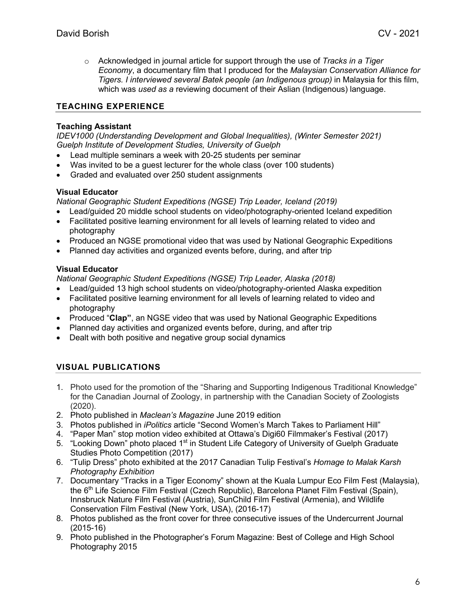o Acknowledged in journal article for support through the use of *Tracks in a Tiger Economy*, a documentary film that I produced for the *Malaysian Conservation Alliance for Tigers. I interviewed several Batek people (an Indigenous group)* in Malaysia for this film, which was *used as a* reviewing document of their Aslian (Indigenous) language.

# **TEACHING EXPERIENCE**

## **Teaching Assistant**

*IDEV1000 (Understanding Development and Global Inequalities), (Winter Semester 2021) Guelph Institute of Development Studies, University of Guelph*

- Lead multiple seminars a week with 20-25 students per seminar
- Was invited to be a quest lecturer for the whole class (over 100 students)
- Graded and evaluated over 250 student assignments

## **Visual Educator**

*National Geographic Student Expeditions (NGSE) Trip Leader, Iceland (2019)*

- Lead/guided 20 middle school students on video/photography-oriented Iceland expedition
- Facilitated positive learning environment for all levels of learning related to video and photography
- Produced an NGSE promotional video that was used by National Geographic Expeditions
- Planned day activities and organized events before, during, and after trip

# **Visual Educator**

*National Geographic Student Expeditions (NGSE) Trip Leader, Alaska (2018)*

- Lead/guided 13 high school students on video/photography-oriented Alaska expedition
- Facilitated positive learning environment for all levels of learning related to video and photography
- Produced "**Clap"**, an NGSE video that was used by National Geographic Expeditions
- Planned day activities and organized events before, during, and after trip
- Dealt with both positive and negative group social dynamics

# **VISUAL PUBLICATIONS**

- 1. Photo used for the promotion of the "Sharing and Supporting Indigenous Traditional Knowledge" for the Canadian Journal of Zoology, in partnership with the Canadian Society of Zoologists (2020).
- 2. Photo published in *Maclean's Magazine* June 2019 edition
- 3. Photos published in *iPolitics* article "Second Women's March Takes to Parliament Hill"
- 4. "Paper Man" stop motion video exhibited at Ottawa's Digi60 Filmmaker's Festival (2017)
- 5. "Looking Down" photo placed 1<sup>st</sup> in Student Life Category of University of Guelph Graduate Studies Photo Competition (2017)
- 6. "Tulip Dress" photo exhibited at the 2017 Canadian Tulip Festival's *Homage to Malak Karsh Photography Exhibition*
- 7. Documentary "Tracks in a Tiger Economy" shown at the Kuala Lumpur Eco Film Fest (Malaysia), the 6<sup>th</sup> Life Science Film Festival (Czech Republic), Barcelona Planet Film Festival (Spain), Innsbruck Nature Film Festival (Austria), SunChild Film Festival (Armenia), and Wildlife Conservation Film Festival (New York, USA), (2016-17)
- 8. Photos published as the front cover for three consecutive issues of the Undercurrent Journal (2015-16)
- 9. Photo published in the Photographer's Forum Magazine: Best of College and High School Photography 2015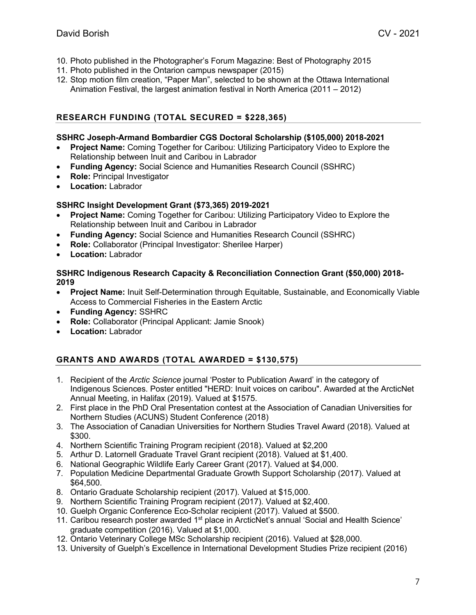- 10. Photo published in the Photographer's Forum Magazine: Best of Photography 2015
- 11. Photo published in the Ontarion campus newspaper (2015)
- 12. Stop motion film creation, "Paper Man", selected to be shown at the Ottawa International Animation Festival, the largest animation festival in North America (2011 – 2012)

# **RESEARCH FUNDING (TOTAL SECURED = \$228,365)**

## **SSHRC Joseph-Armand Bombardier CGS Doctoral Scholarship (\$105,000) 2018-2021**

- **Project Name:** Coming Together for Caribou: Utilizing Participatory Video to Explore the Relationship between Inuit and Caribou in Labrador
- **Funding Agency:** Social Science and Humanities Research Council (SSHRC)
- **Role: Principal Investigator**
- **Location:** Labrador

## **SSHRC Insight Development Grant (\$73,365) 2019-2021**

- **Project Name:** Coming Together for Caribou: Utilizing Participatory Video to Explore the Relationship between Inuit and Caribou in Labrador
- **Funding Agency:** Social Science and Humanities Research Council (SSHRC)
- **Role:** Collaborator (Principal Investigator: Sherilee Harper)
- **Location:** Labrador

#### **SSHRC Indigenous Research Capacity & Reconciliation Connection Grant (\$50,000) 2018- 2019**

- **Project Name:** Inuit Self-Determination through Equitable, Sustainable, and Economically Viable Access to Commercial Fisheries in the Eastern Arctic
- **Funding Agency:** SSHRC
- **Role:** Collaborator (Principal Applicant: Jamie Snook)
- **Location:** Labrador

# **GRANTS AND AWARDS (TOTAL AWARDED = \$130,575)**

- 1. Recipient of the *Arctic Science* journal 'Poster to Publication Award' in the category of Indigenous Sciences. Poster entitled "HERD: Inuit voices on caribou". Awarded at the ArcticNet Annual Meeting, in Halifax (2019). Valued at \$1575.
- 2. First place in the PhD Oral Presentation contest at the Association of Canadian Universities for Northern Studies (ACUNS) Student Conference (2018)
- 3. The Association of Canadian Universities for Northern Studies Travel Award (2018). Valued at \$300.
- 4. Northern Scientific Training Program recipient (2018). Valued at \$2,200
- 5. Arthur D. Latornell Graduate Travel Grant recipient (2018). Valued at \$1,400.
- 6. National Geographic Wildlife Early Career Grant (2017). Valued at \$4,000.
- 7. Population Medicine Departmental Graduate Growth Support Scholarship (2017). Valued at \$64,500.
- 8. Ontario Graduate Scholarship recipient (2017). Valued at \$15,000.
- 9. Northern Scientific Training Program recipient (2017). Valued at \$2,400.
- 10. Guelph Organic Conference Eco-Scholar recipient (2017). Valued at \$500.
- 11. Caribou research poster awarded 1<sup>st</sup> place in ArcticNet's annual 'Social and Health Science' graduate competition (2016). Valued at \$1,000.
- 12. Ontario Veterinary College MSc Scholarship recipient (2016). Valued at \$28,000.
- 13. University of Guelph's Excellence in International Development Studies Prize recipient (2016)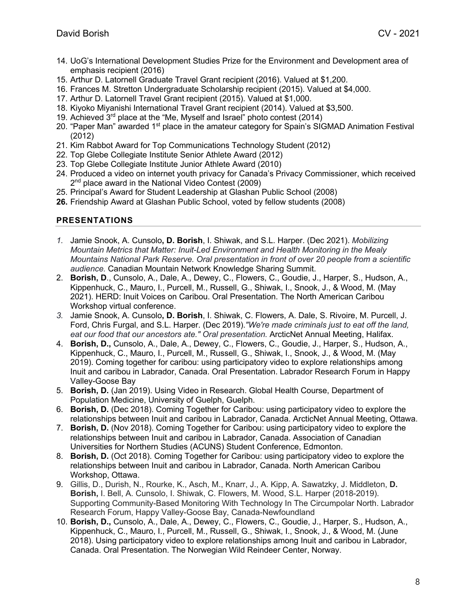- 14. UoG's International Development Studies Prize for the Environment and Development area of emphasis recipient (2016)
- 15. Arthur D. Latornell Graduate Travel Grant recipient (2016). Valued at \$1,200.
- 16. Frances M. Stretton Undergraduate Scholarship recipient (2015). Valued at \$4,000.
- 17. Arthur D. Latornell Travel Grant recipient (2015). Valued at \$1,000.
- 18. Kiyoko Miyanishi International Travel Grant recipient (2014). Valued at \$3,500.
- 19. Achieved 3<sup>rd</sup> place at the "Me, Myself and Israel" photo contest (2014)
- 20. "Paper Man" awarded  $1<sup>st</sup>$  place in the amateur category for Spain's SIGMAD Animation Festival (2012)
- 21. Kim Rabbot Award for Top Communications Technology Student (2012)
- 22. Top Glebe Collegiate Institute Senior Athlete Award (2012)
- 23. Top Glebe Collegiate Institute Junior Athlete Award (2010)
- 24. Produced a video on internet youth privacy for Canada's Privacy Commissioner, which received 2<sup>nd</sup> place award in the National Video Contest (2009)
- 25. Principal's Award for Student Leadership at Glashan Public School (2008)
- **26.** Friendship Award at Glashan Public School, voted by fellow students (2008)

## **PRESENTATIONS**

- *1.* Jamie Snook, A. Cunsolo**, D. Borish**, I. Shiwak, and S.L. Harper. (Dec 2021). *Mobilizing Mountain Metrics that Matter: Inuit-Led Environment and Health Monitoring in the Mealy Mountains National Park Reserve. Oral presentation in front of over 20 people from a scientific audience.* Canadian Mountain Network Knowledge Sharing Summit.
- 2. **Borish, D**., Cunsolo, A., Dale, A., Dewey, C., Flowers, C., Goudie, J., Harper, S., Hudson, A., Kippenhuck, C., Mauro, I., Purcell, M., Russell, G., Shiwak, I., Snook, J., & Wood, M. (May 2021). HERD: Inuit Voices on Caribou. Oral Presentation. The North American Caribou Workshop virtual conference.
- *3.* Jamie Snook, A. Cunsolo**, D. Borish**, I. Shiwak, C. Flowers, A. Dale, S. Rivoire, M. Purcell, J. Ford, Chris Furgal, and S.L. Harper. (Dec 2019).*"We're made criminals just to eat off the land,*  eat our food that our ancestors ate." Oral presentation, ArcticNet Annual Meeting, Halifax.
- 4. **Borish, D.,** Cunsolo, A., Dale, A., Dewey, C., Flowers, C., Goudie, J., Harper, S., Hudson, A., Kippenhuck, C., Mauro, I., Purcell, M., Russell, G., Shiwak, I., Snook, J., & Wood, M. (May 2019). Coming together for caribou: using participatory video to explore relationships among Inuit and caribou in Labrador, Canada. Oral Presentation. Labrador Research Forum in Happy Valley-Goose Bay
- 5. **Borish, D.** (Jan 2019). Using Video in Research. Global Health Course, Department of Population Medicine, University of Guelph, Guelph.
- 6. **Borish, D.** (Dec 2018). Coming Together for Caribou: using participatory video to explore the relationships between Inuit and caribou in Labrador, Canada. ArcticNet Annual Meeting, Ottawa.
- 7. **Borish, D.** (Nov 2018). Coming Together for Caribou: using participatory video to explore the relationships between Inuit and caribou in Labrador, Canada. Association of Canadian Universities for Northern Studies (ACUNS) Student Conference, Edmonton.
- 8. **Borish, D.** (Oct 2018). Coming Together for Caribou: using participatory video to explore the relationships between Inuit and caribou in Labrador, Canada. North American Caribou Workshop, Ottawa.
- 9. Gillis, D., Durish, N., Rourke, K., Asch, M., Knarr, J., A. Kipp, A. Sawatzky, J. Middleton, **D. Borish,** I. Bell, A. Cunsolo, I. Shiwak, C. Flowers, M. Wood, S.L. Harper (2018-2019). Supporting Community-Based Monitoring With Technology In The Circumpolar North. Labrador Research Forum, Happy Valley-Goose Bay, Canada-Newfoundland
- 10. **Borish, D.,** Cunsolo, A., Dale, A., Dewey, C., Flowers, C., Goudie, J., Harper, S., Hudson, A., Kippenhuck, C., Mauro, I., Purcell, M., Russell, G., Shiwak, I., Snook, J., & Wood, M. (June 2018). Using participatory video to explore relationships among Inuit and caribou in Labrador, Canada. Oral Presentation. The Norwegian Wild Reindeer Center, Norway.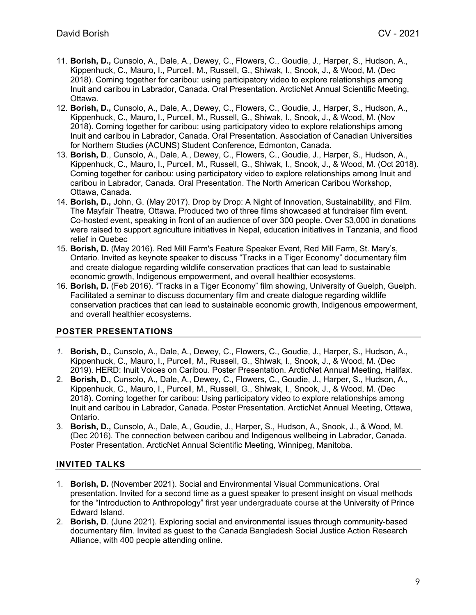- 11. **Borish, D.,** Cunsolo, A., Dale, A., Dewey, C., Flowers, C., Goudie, J., Harper, S., Hudson, A., Kippenhuck, C., Mauro, I., Purcell, M., Russell, G., Shiwak, I., Snook, J., & Wood, M. (Dec 2018). Coming together for caribou: using participatory video to explore relationships among Inuit and caribou in Labrador, Canada. Oral Presentation. ArcticNet Annual Scientific Meeting, Ottawa.
- 12. **Borish, D.,** Cunsolo, A., Dale, A., Dewey, C., Flowers, C., Goudie, J., Harper, S., Hudson, A., Kippenhuck, C., Mauro, I., Purcell, M., Russell, G., Shiwak, I., Snook, J., & Wood, M. (Nov 2018). Coming together for caribou: using participatory video to explore relationships among Inuit and caribou in Labrador, Canada. Oral Presentation. Association of Canadian Universities for Northern Studies (ACUNS) Student Conference, Edmonton, Canada.
- 13. **Borish, D**., Cunsolo, A., Dale, A., Dewey, C., Flowers, C., Goudie, J., Harper, S., Hudson, A., Kippenhuck, C., Mauro, I., Purcell, M., Russell, G., Shiwak, I., Snook, J., & Wood, M. (Oct 2018). Coming together for caribou: using participatory video to explore relationships among Inuit and caribou in Labrador, Canada. Oral Presentation. The North American Caribou Workshop, Ottawa, Canada.
- 14. **Borish, D.,** John, G. (May 2017). Drop by Drop: A Night of Innovation, Sustainability, and Film. The Mayfair Theatre, Ottawa. Produced two of three films showcased at fundraiser film event. Co-hosted event, speaking in front of an audience of over 300 people. Over \$3,000 in donations were raised to support agriculture initiatives in Nepal, education initiatives in Tanzania, and flood relief in Quebec
- 15. **Borish, D.** (May 2016). Red Mill Farm's Feature Speaker Event, Red Mill Farm, St. Mary's, Ontario. Invited as keynote speaker to discuss "Tracks in a Tiger Economy" documentary film and create dialogue regarding wildlife conservation practices that can lead to sustainable economic growth, Indigenous empowerment, and overall healthier ecosystems.
- 16. **Borish, D.** (Feb 2016). "Tracks in a Tiger Economy" film showing, University of Guelph, Guelph. Facilitated a seminar to discuss documentary film and create dialogue regarding wildlife conservation practices that can lead to sustainable economic growth, Indigenous empowerment, and overall healthier ecosystems.

# **POSTER PRESENTATIONS**

- *1.* **Borish, D.,** Cunsolo, A., Dale, A., Dewey, C., Flowers, C., Goudie, J., Harper, S., Hudson, A., Kippenhuck, C., Mauro, I., Purcell, M., Russell, G., Shiwak, I., Snook, J., & Wood, M. (Dec 2019). HERD: Inuit Voices on Caribou. Poster Presentation. ArcticNet Annual Meeting, Halifax.
- 2. **Borish, D.,** Cunsolo, A., Dale, A., Dewey, C., Flowers, C., Goudie, J., Harper, S., Hudson, A., Kippenhuck, C., Mauro, I., Purcell, M., Russell, G., Shiwak, I., Snook, J., & Wood, M. (Dec 2018). Coming together for caribou: Using participatory video to explore relationships among Inuit and caribou in Labrador, Canada. Poster Presentation. ArcticNet Annual Meeting, Ottawa, Ontario.
- 3. **Borish, D.,** Cunsolo, A., Dale, A., Goudie, J., Harper, S., Hudson, A., Snook, J., & Wood, M. (Dec 2016). The connection between caribou and Indigenous wellbeing in Labrador, Canada. Poster Presentation. ArcticNet Annual Scientific Meeting, Winnipeg, Manitoba.

# **INVITED TALKS**

- 1. **Borish, D.** (November 2021). Social and Environmental Visual Communications. Oral presentation. Invited for a second time as a guest speaker to present insight on visual methods for the "Introduction to Anthropology" first year undergraduate course at the University of Prince Edward Island.
- 2. **Borish, D**. (June 2021). Exploring social and environmental issues through community-based documentary film. Invited as guest to the Canada Bangladesh Social Justice Action Research Alliance, with 400 people attending online.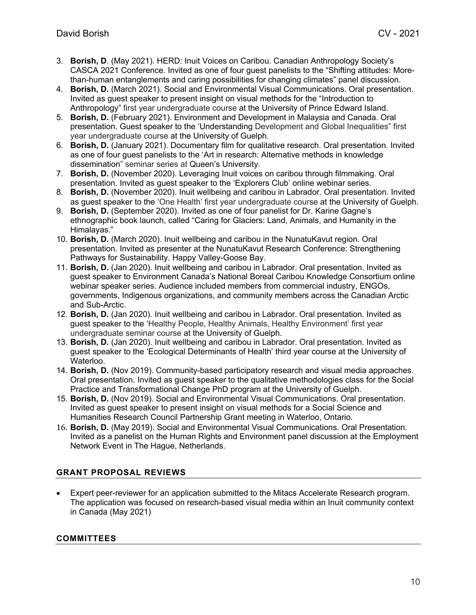- 3. **Borish, D**. (May 2021). HERD: Inuit Voices on Caribou. Canadian Anthropology Society's CASCA 2021 Conference. Invited as one of four guest panelists to the "Shifting attitudes: Morethan-human entanglements and caring possibilities for changing climates" panel discussion.
- 4. **Borish, D.** (March 2021). Social and Environmental Visual Communications. Oral presentation. Invited as guest speaker to present insight on visual methods for the "Introduction to Anthropology" first year undergraduate course at the University of Prince Edward Island.
- 5. **Borish, D.** (February 2021). Environment and Development in Malaysia and Canada. Oral presentation. Guest speaker to the 'Understanding Development and Global Inequalities" first year undergraduate course at the University of Guelph.
- 6. **Borish, D.** (January 2021). Documentary film for qualitative research. Oral presentation. Invited as one of four guest panelists to the 'Art in research: Alternative methods in knowledge dissemination" seminar series at Queen's University.
- 7. **Borish, D.** (November 2020). Leveraging Inuit voices on caribou through filmmaking. Oral presentation. Invited as guest speaker to the 'Explorers Club' online webinar series.
- 8. **Borish, D.** (November 2020). Inuit wellbeing and caribou in Labrador. Oral presentation. Invited as guest speaker to the 'One Health' first year undergraduate course at the University of Guelph.
- 9. **Borish, D.** (September 2020). Invited as one of four panelist for Dr. Karine Gagne's ethnographic book launch, called "Caring for Glaciers: Land, Animals, and Humanity in the Himalayas."
- 10. **Borish, D.** (March 2020). Inuit wellbeing and caribou in the NunatuKavut region. Oral presentation. Invited as presenter at the NunatuKavut Research Conference: Strengthening Pathways for Sustainability. Happy Valley-Goose Bay.
- 11. **Borish, D.** (Jan 2020). Inuit wellbeing and caribou in Labrador. Oral presentation. Invited as guest speaker to Environment Canada's National Boreal Caribou Knowledge Consortium online webinar speaker series. Audience included members from commercial industry, ENGOs, governments, Indigenous organizations, and community members across the Canadian Arctic and Sub-Arctic.
- 12. **Borish, D.** (Jan 2020). Inuit wellbeing and caribou in Labrador. Oral presentation. Invited as guest speaker to the 'Healthy People, Healthy Animals, Healthy Environment' first year undergraduate seminar course at the University of Guelph.
- 13. **Borish, D.** (Jan 2020). Inuit wellbeing and caribou in Labrador. Oral presentation. Invited as guest speaker to the 'Ecological Determinants of Health' third year course at the University of Waterloo.
- 14. **Borish, D.** (Nov 2019). Community-based participatory research and visual media approaches. Oral presentation. Invited as guest speaker to the qualitative methodologies class for the Social Practice and Transformational Change PhD program at the University of Guelph.
- 15. **Borish, D.** (Nov 2019). Social and Environmental Visual Communications. Oral presentation. Invited as guest speaker to present insight on visual methods for a Social Science and Humanities Research Council Partnership Grant meeting in Waterloo, Ontario.
- 16. **Borish, D.** (May 2019). Social and Environmental Visual Communications. Oral Presentation. Invited as a panelist on the Human Rights and Environment panel discussion at the Employment Network Event in The Hague, Netherlands.

# **GRANT PROPOSAL REVIEWS**

• Expert peer-reviewer for an application submitted to the Mitacs Accelerate Research program. The application was focused on research-based visual media within an Inuit community context in Canada (May 2021)

# **COMMITTEES**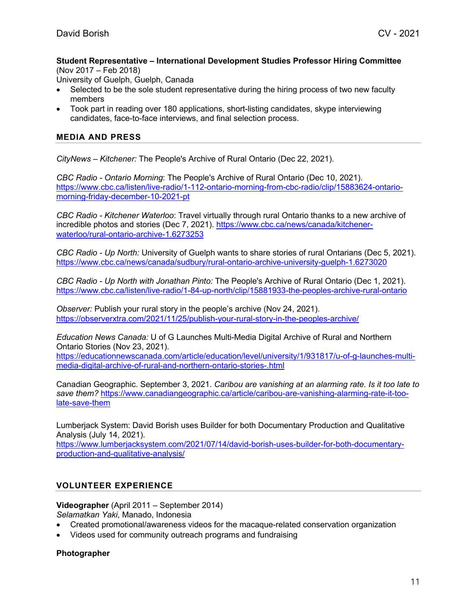#### **Student Representative – International Development Studies Professor Hiring Committee**  (Nov 2017 – Feb 2018)

University of Guelph, Guelph, Canada

- Selected to be the sole student representative during the hiring process of two new faculty members
- Took part in reading over 180 applications, short-listing candidates, skype interviewing candidates, face-to-face interviews, and final selection process.

## **MEDIA AND PRESS**

*CityNews – Kitchener:* The People's Archive of Rural Ontario (Dec 22, 2021).

*CBC Radio - Ontario Morning*: The People's Archive of Rural Ontario (Dec 10, 2021). https://www.cbc.ca/listen/live-radio/1-112-ontario-morning-from-cbc-radio/clip/15883624-ontariomorning-friday-december-10-2021-pt

*CBC Radio - Kitchener Waterloo*: Travel virtually through rural Ontario thanks to a new archive of incredible photos and stories (Dec 7, 2021). https://www.cbc.ca/news/canada/kitchenerwaterloo/rural-ontario-archive-1.6273253

*CBC Radio - Up North:* University of Guelph wants to share stories of rural Ontarians (Dec 5, 2021). https://www.cbc.ca/news/canada/sudbury/rural-ontario-archive-university-guelph-1.6273020

*CBC Radio - Up North with Jonathan Pinto:* The People's Archive of Rural Ontario (Dec 1, 2021). https://www.cbc.ca/listen/live-radio/1-84-up-north/clip/15881933-the-peoples-archive-rural-ontario

*Observer:* Publish your rural story in the people's archive (Nov 24, 2021). https://observerxtra.com/2021/11/25/publish-your-rural-story-in-the-peoples-archive/

*Education News Canada:* U of G Launches Multi-Media Digital Archive of Rural and Northern Ontario Stories (Nov 23, 2021).

https://educationnewscanada.com/article/education/level/university/1/931817/u-of-g-launches-multimedia-digital-archive-of-rural-and-northern-ontario-stories-.html

Canadian Geographic. September 3, 2021. *Caribou are vanishing at an alarming rate. Is it too late to save them?* https://www.canadiangeographic.ca/article/caribou-are-vanishing-alarming-rate-it-toolate-save-them

Lumberjack System: David Borish uses Builder for both Documentary Production and Qualitative Analysis (July 14, 2021).

https://www.lumberjacksystem.com/2021/07/14/david-borish-uses-builder-for-both-documentaryproduction-and-qualitative-analysis/

## **VOLUNTEER EXPERIENCE**

# **Videographer** (April 2011 – September 2014)

*Selamatkan Yaki*, Manado, Indonesia

- Created promotional/awareness videos for the macaque-related conservation organization
- Videos used for community outreach programs and fundraising

## **Photographer**